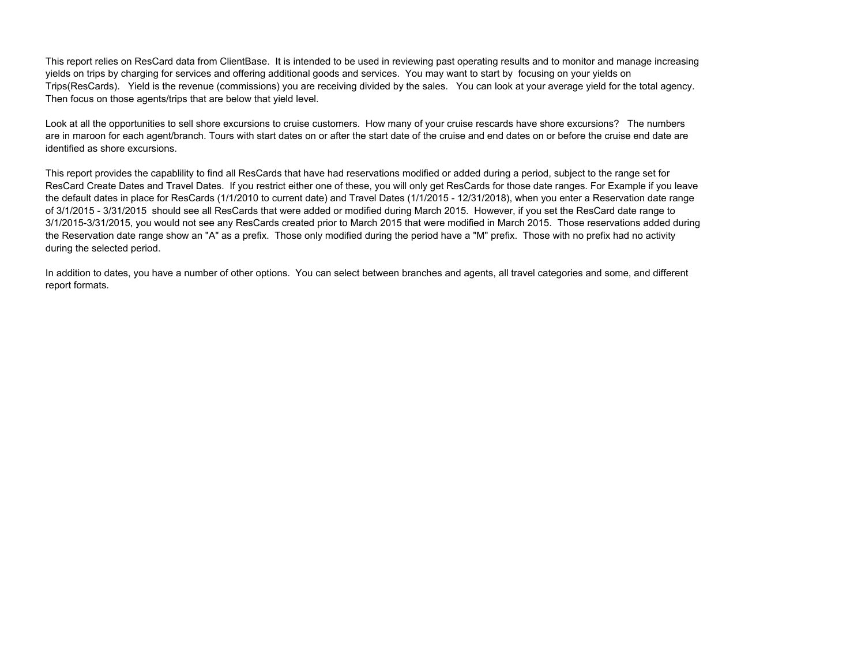This report relies on ResCard data from ClientBase. It is intended to be used in reviewing past operating results and to monitor and manage increasing yields on trips by charging for services and offering additional goods and services. You may want to start by focusing on your yields on Trips(ResCards). Yield is the revenue (commissions) you are receiving divided by the sales. You can look at your average yield for the total agency. Then focus on those agents/trips that are below that yield level.

Look at all the opportunities to sell shore excursions to cruise customers. How many of your cruise rescards have shore excursions? The numbers are in maroon for each agent/branch. Tours with start dates on or after the start date of the cruise and end dates on or before the cruise end date are identified as shore excursions.

This report provides the capablility to find all ResCards that have had reservations modified or added during a period, subject to the range set for ResCard Create Dates and Travel Dates. If you restrict either one of these, you will only get ResCards for those date ranges. For Example if you leave the default dates in place for ResCards (1/1/2010 to current date) and Travel Dates (1/1/2015 - 12/31/2018), when you enter a Reservation date range of 3/1/2015 - 3/31/2015 should see all ResCards that were added or modified during March 2015. However, if you set the ResCard date range to 3/1/2015-3/31/2015, you would not see any ResCards created prior to March 2015 that were modified in March 2015. Those reservations added during the Reservation date range show an "A" as a prefix. Those only modified during the period have a "M" prefix. Those with no prefix had no activity during the selected period.

In addition to dates, you have a number of other options. You can select between branches and agents, all travel categories and some, and different report formats.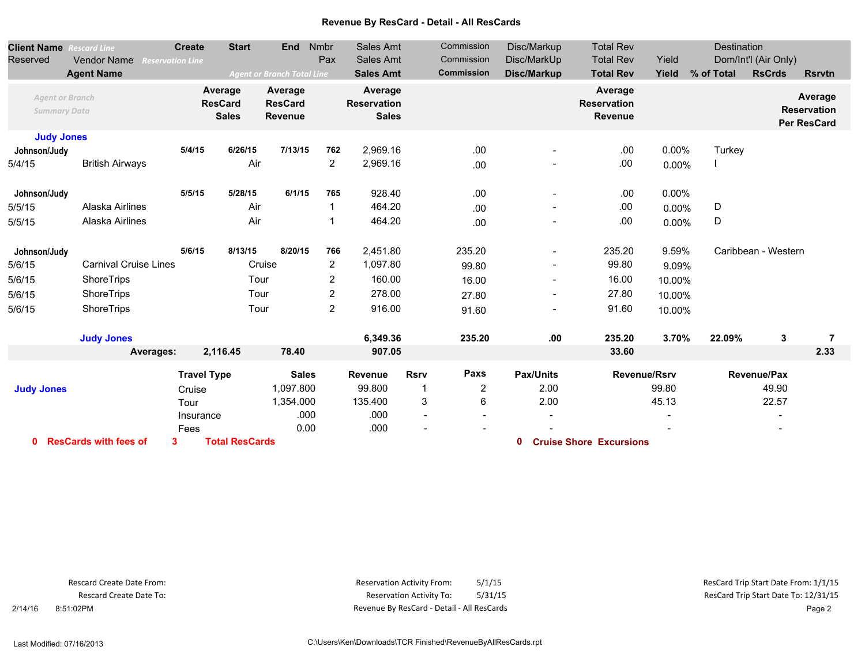## **Revenue By ResCard - Detail - All ResCards**

| <b>Client Name</b><br>Reserved                | <b>Rescard Line</b><br>Vendor Name<br><b>Reservation Line</b><br><b>Agent Name</b> | <b>Create</b>      | <b>Start</b>                              | <b>End</b><br><b>Agent or Branch Total Line</b> | Nmbr<br>Pax    | Sales Amt<br>Sales Amt<br><b>Sales Amt</b>    |             | Commission<br>Commission<br><b>Commission</b> | Disc/Markup<br>Disc/MarkUp<br>Disc/Markup | <b>Total Rev</b><br><b>Total Rev</b><br><b>Total Rev</b> | Yield<br>Yield      | Destination<br>% of Total | Dom/Int'l (Air Only)<br><b>RsCrds</b> | <b>Rsrvtn</b>                                       |
|-----------------------------------------------|------------------------------------------------------------------------------------|--------------------|-------------------------------------------|-------------------------------------------------|----------------|-----------------------------------------------|-------------|-----------------------------------------------|-------------------------------------------|----------------------------------------------------------|---------------------|---------------------------|---------------------------------------|-----------------------------------------------------|
| <b>Agent or Branch</b><br><b>Summary Data</b> |                                                                                    |                    | Average<br><b>ResCard</b><br><b>Sales</b> | Average<br><b>ResCard</b><br><b>Revenue</b>     |                | Average<br><b>Reservation</b><br><b>Sales</b> |             |                                               |                                           | Average<br><b>Reservation</b><br><b>Revenue</b>          |                     |                           |                                       | Average<br><b>Reservation</b><br><b>Per ResCard</b> |
| <b>Judy Jones</b>                             |                                                                                    |                    |                                           |                                                 |                |                                               |             |                                               |                                           |                                                          |                     |                           |                                       |                                                     |
| Johnson/Judy                                  |                                                                                    | 5/4/15             | 6/26/15                                   | 7/13/15                                         | 762            | 2,969.16                                      |             | .00                                           |                                           | .00                                                      | $0.00\%$            | Turkey                    |                                       |                                                     |
| 5/4/15                                        | <b>British Airways</b>                                                             |                    | Air                                       |                                                 | 2              | 2,969.16                                      |             | .00                                           |                                           | .00                                                      | 0.00%               |                           |                                       |                                                     |
| Johnson/Judy                                  |                                                                                    | 5/5/15             | 5/28/15                                   | 6/1/15                                          | 765            | 928.40                                        |             | .00                                           | $\overline{\phantom{a}}$                  | .00                                                      | $0.00\%$            |                           |                                       |                                                     |
| 5/5/15                                        | Alaska Airlines                                                                    |                    | Air                                       |                                                 | -1             | 464.20                                        |             | .00                                           | $\overline{\phantom{a}}$                  | .00                                                      | 0.00%               | D                         |                                       |                                                     |
| 5/5/15                                        | Alaska Airlines                                                                    |                    | Air                                       |                                                 | 1              | 464.20                                        |             | .00                                           | -                                         | .00                                                      | 0.00%               | D                         |                                       |                                                     |
| Johnson/Judy                                  |                                                                                    | 5/6/15             | 8/13/15                                   | 8/20/15                                         | 766            | 2,451.80                                      |             | 235.20                                        | $\overline{\phantom{a}}$                  | 235.20                                                   | 9.59%               |                           | Caribbean - Western                   |                                                     |
| 5/6/15                                        | <b>Carnival Cruise Lines</b>                                                       |                    |                                           | Cruise                                          | $\overline{c}$ | 1,097.80                                      |             | 99.80                                         | $\qquad \qquad \blacksquare$              | 99.80                                                    | 9.09%               |                           |                                       |                                                     |
| 5/6/15                                        | ShoreTrips                                                                         |                    | Tour                                      |                                                 | 2              | 160.00                                        |             | 16.00                                         | $\overline{\phantom{a}}$                  | 16.00                                                    | 10.00%              |                           |                                       |                                                     |
| 5/6/15                                        | ShoreTrips                                                                         |                    | Tour                                      |                                                 | $\overline{c}$ | 278.00                                        |             | 27.80                                         | $\overline{\phantom{a}}$                  | 27.80                                                    | 10.00%              |                           |                                       |                                                     |
| 5/6/15                                        | ShoreTrips                                                                         |                    | Tour                                      |                                                 | $\overline{2}$ | 916.00                                        |             | 91.60                                         | $\overline{\phantom{a}}$                  | 91.60                                                    | 10.00%              |                           |                                       |                                                     |
|                                               | <b>Judy Jones</b>                                                                  |                    |                                           |                                                 |                | 6,349.36                                      |             | 235.20                                        | .00                                       | 235.20                                                   | 3.70%               | 22.09%                    | 3                                     | 7                                                   |
|                                               | Averages:                                                                          |                    | 2,116.45                                  | 78.40                                           |                | 907.05                                        |             |                                               |                                           | 33.60                                                    |                     |                           |                                       | 2.33                                                |
|                                               |                                                                                    | <b>Travel Type</b> |                                           | <b>Sales</b>                                    |                | <b>Revenue</b>                                | <b>Rsrv</b> | Paxs                                          | Pax/Units                                 |                                                          | <b>Revenue/Rsrv</b> |                           | Revenue/Pax                           |                                                     |
| <b>Judy Jones</b>                             |                                                                                    | Cruise             |                                           | 1,097.800                                       |                | 99.800                                        | 1           | 2                                             | 2.00                                      |                                                          | 99.80               |                           | 49.90                                 |                                                     |
|                                               |                                                                                    | Tour               |                                           | 1,354.000                                       |                | 135.400                                       | 3           | 6                                             | 2.00                                      |                                                          | 45.13               |                           | 22.57                                 |                                                     |
|                                               |                                                                                    | Insurance          |                                           | .000                                            |                | .000                                          |             |                                               |                                           |                                                          |                     |                           |                                       |                                                     |
|                                               |                                                                                    | Fees               |                                           | 0.00                                            |                | .000                                          |             |                                               |                                           |                                                          |                     |                           |                                       |                                                     |
| <b>ResCards with fees of</b><br>0             |                                                                                    | 3                  | <b>Total ResCards</b>                     |                                                 |                |                                               |             |                                               | 0                                         | <b>Cruise Shore Excursions</b>                           |                     |                           |                                       |                                                     |

Rescard Create Date From: Rescard Create Date To:

 2/14/16 8:51:02PM Revenue By ResCard - Detail - All ResCards Page 2 Reservation Activity From: 5/1/15 5/1/15 5/1/15 5/1/15 5/1/15 6.5 1/1/15 6.5 1/1/15 6.5 1/1/15 6.5 1/1/15 6.5 1/1/15 Reservation Activity To: 5/1/15 5/31/15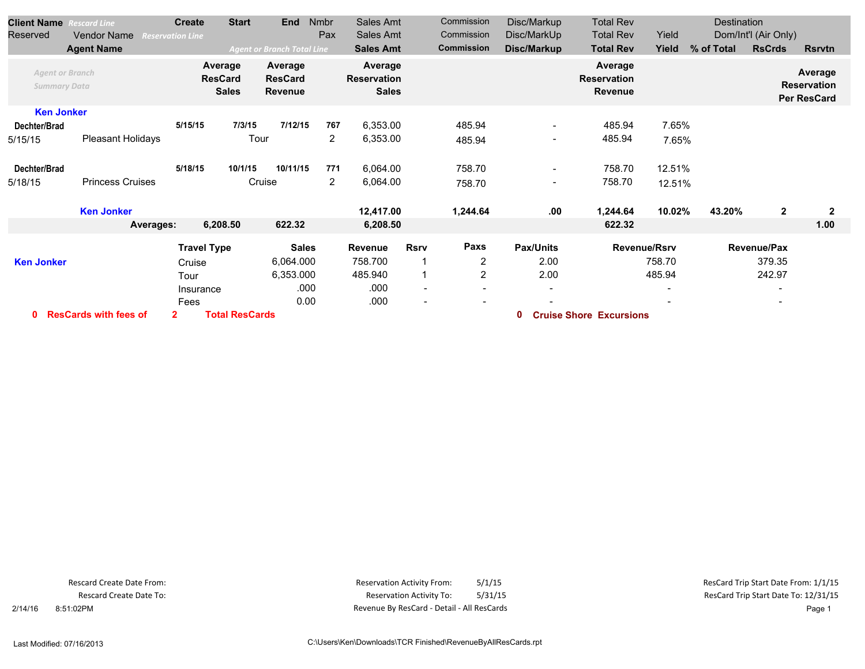| <b>Client Name</b>                            | <b>Rescard Line</b>      | <b>Create</b>                             | <b>Start</b>          | <b>End</b>                           | Nmbr           | Sales Amt                                     |                          | Commission        | Disc/Markup      | <b>Total Rev</b>                         |              | Destination |                      |                                                     |
|-----------------------------------------------|--------------------------|-------------------------------------------|-----------------------|--------------------------------------|----------------|-----------------------------------------------|--------------------------|-------------------|------------------|------------------------------------------|--------------|-------------|----------------------|-----------------------------------------------------|
| Reserved                                      | <b>Vendor Name</b>       | <b>Reservation Line</b>                   |                       |                                      | Pax            | Sales Amt                                     |                          | Commission        | Disc/MarkUp      | <b>Total Rev</b>                         | Yield        |             | Dom/Int'l (Air Only) |                                                     |
|                                               | <b>Agent Name</b>        |                                           |                       | <b>Agent or Branch Total Line</b>    |                | <b>Sales Amt</b>                              |                          | <b>Commission</b> | Disc/Markup      | <b>Total Rev</b>                         | Yield        | % of Total  | <b>RsCrds</b>        | <b>Rsrvtn</b>                                       |
| <b>Agent or Branch</b><br><b>Summary Data</b> |                          | Average<br><b>ResCard</b><br><b>Sales</b> |                       | Average<br><b>ResCard</b><br>Revenue |                | Average<br><b>Reservation</b><br><b>Sales</b> |                          |                   |                  | Average<br><b>Reservation</b><br>Revenue |              |             |                      | Average<br><b>Reservation</b><br><b>Per ResCard</b> |
| <b>Ken Jonker</b>                             |                          |                                           |                       |                                      |                |                                               |                          |                   |                  |                                          |              |             |                      |                                                     |
| Dechter/Brad                                  |                          | 5/15/15                                   | 7/3/15                | 7/12/15                              | 767            | 6,353.00                                      |                          | 485.94            |                  | 485.94                                   | 7.65%        |             |                      |                                                     |
| 5/15/15                                       | <b>Pleasant Holidays</b> | Tour                                      |                       |                                      | $\overline{2}$ | 6,353.00                                      |                          | 485.94            | $\blacksquare$   | 485.94                                   | 7.65%        |             |                      |                                                     |
| Dechter/Brad                                  |                          | 5/18/15                                   | 10/1/15               | 10/11/15                             | 771            | 6,064.00                                      |                          | 758.70            | $\sim$           | 758.70                                   | 12.51%       |             |                      |                                                     |
| 5/18/15                                       | <b>Princess Cruises</b>  |                                           |                       | Cruise                               | $\overline{2}$ | 6,064.00                                      |                          | 758.70            |                  | 758.70                                   | 12.51%       |             |                      |                                                     |
|                                               | <b>Ken Jonker</b>        |                                           |                       |                                      |                | 12,417.00                                     |                          | 1,244.64          | .00              | 1,244.64                                 | 10.02%       | 43.20%      | $\overline{2}$       | $\overline{2}$                                      |
|                                               | Averages:                | 6,208.50                                  |                       | 622.32                               |                |                                               | 6,208.50                 |                   |                  | 622.32                                   |              |             |                      | 1.00                                                |
|                                               |                          | <b>Travel Type</b>                        |                       | <b>Sales</b>                         |                | Revenue                                       | <b>Rsrv</b>              | Paxs              | <b>Pax/Units</b> |                                          | Revenue/Rsrv |             | <b>Revenue/Pax</b>   |                                                     |
| <b>Ken Jonker</b>                             |                          | Cruise                                    |                       | 6,064.000                            |                | 758.700                                       |                          | 2                 | 2.00             |                                          | 758.70       |             | 379.35               |                                                     |
|                                               |                          | Tour                                      |                       | 6,353.000                            |                | 485.940                                       |                          | 2                 | 2.00             |                                          | 485.94       |             | 242.97               |                                                     |
|                                               |                          | Insurance                                 |                       | .000                                 |                | .000                                          | $\overline{\phantom{a}}$ |                   |                  |                                          |              |             |                      |                                                     |
|                                               |                          | Fees                                      |                       | 0.00                                 |                | .000                                          |                          |                   |                  |                                          |              |             |                      |                                                     |
| <b>ResCards with fees of</b><br>$\mathbf 0$   |                          | $\mathbf{2}$                              | <b>Total ResCards</b> |                                      |                |                                               |                          |                   | 0                | <b>Cruise Shore Excursions</b>           |              |             |                      |                                                     |

Rescard Create Date From: Rescard Create Date To:

 2/14/16 8:51:02PM Revenue By ResCard - Detail - All ResCards Page 1 Reservation Activity From: 5/1/15 5/1/15 5/1/15 5/1/15 5/1/15 6.5 1/1/15 6.5 1/1/15 6.5 1/1/15 6.5 1/1/15 6.5 1/1/15 Reservation Activity To: 5/1/15 5/31/15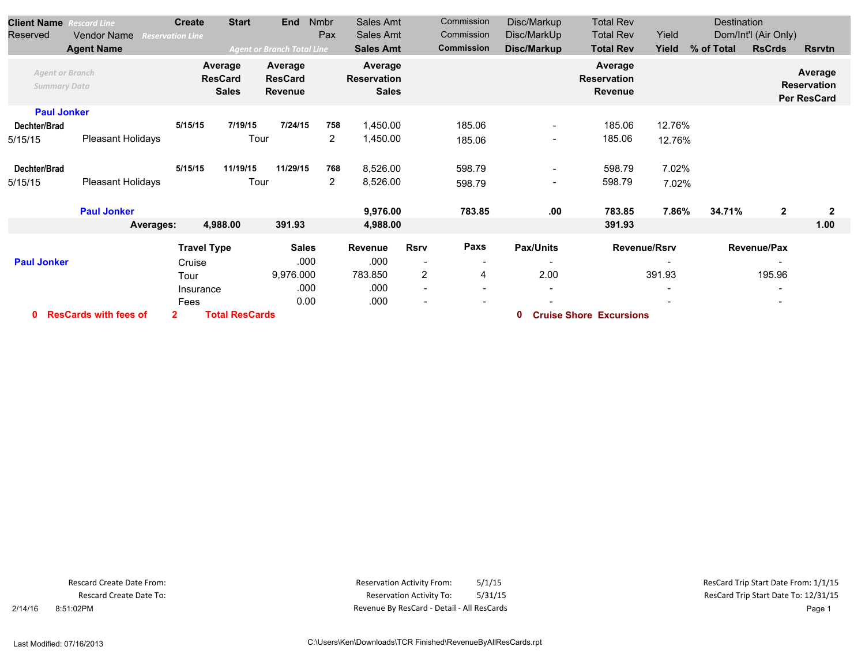| <b>Client Name</b><br><b>Rescard Line</b>   |                          | <b>Create</b>           | <b>Start</b>                              | <b>End</b>                           | Nmbr           | Sales Amt                                     |                          | Commission        | Disc/Markup                  | <b>Total Rev</b>                                |                     |            |                          |                                                     |
|---------------------------------------------|--------------------------|-------------------------|-------------------------------------------|--------------------------------------|----------------|-----------------------------------------------|--------------------------|-------------------|------------------------------|-------------------------------------------------|---------------------|------------|--------------------------|-----------------------------------------------------|
| Reserved                                    | <b>Vendor Name</b>       | <b>Reservation Line</b> |                                           |                                      | Pax            | Sales Amt                                     |                          | Commission        | Disc/MarkUp                  | <b>Total Rev</b>                                | Yield               |            | Dom/Int'l (Air Only)     |                                                     |
|                                             | <b>Agent Name</b>        |                         |                                           | <b>Agent or Branch Total Line</b>    |                | <b>Sales Amt</b>                              |                          | <b>Commission</b> | Disc/Markup                  | <b>Total Rev</b>                                | Yield               | % of Total | <b>RsCrds</b>            | <b>Rsrvtn</b>                                       |
| <b>Summary Data</b>                         | <b>Agent or Branch</b>   |                         | Average<br><b>ResCard</b><br><b>Sales</b> | Average<br><b>ResCard</b><br>Revenue |                | Average<br><b>Reservation</b><br><b>Sales</b> |                          |                   |                              | Average<br><b>Reservation</b><br><b>Revenue</b> |                     |            |                          | Average<br><b>Reservation</b><br><b>Per ResCard</b> |
|                                             | <b>Paul Jonker</b>       |                         |                                           |                                      |                |                                               |                          |                   |                              |                                                 |                     |            |                          |                                                     |
| Dechter/Brad                                |                          | 5/15/15                 | 7/19/15                                   | 7/24/15                              | 758            | 1,450.00                                      |                          | 185.06            | $\overline{\phantom{a}}$     | 185.06                                          | 12.76%              |            |                          |                                                     |
| 5/15/15                                     | <b>Pleasant Holidays</b> |                         | Tour                                      |                                      | $\overline{2}$ | 1,450.00                                      |                          | 185.06            | $\overline{\phantom{a}}$     | 185.06                                          | 12.76%              |            |                          |                                                     |
| Dechter/Brad                                |                          | 5/15/15                 | 11/19/15                                  | 11/29/15                             | 768            | 8,526.00                                      |                          | 598.79            | $\overline{\phantom{a}}$     | 598.79                                          | 7.02%               |            |                          |                                                     |
| 5/15/15                                     | Pleasant Holidays        |                         | Tour                                      |                                      | 2              | 8,526.00                                      |                          | 598.79            | $\qquad \qquad \blacksquare$ | 598.79                                          | 7.02%               |            |                          |                                                     |
|                                             | <b>Paul Jonker</b>       |                         |                                           |                                      |                | 9,976.00                                      |                          | 783.85            | .00                          | 783.85                                          | 7.86%               | 34.71%     | $\mathbf{2}$             | $\mathbf 2$                                         |
|                                             | Averages:                |                         | 4,988.00                                  | 391.93                               |                | 4,988.00                                      |                          |                   |                              | 391.93                                          |                     |            |                          | 1.00                                                |
|                                             |                          | <b>Travel Type</b>      |                                           | <b>Sales</b>                         |                | Revenue                                       | <b>Rsrv</b>              | Paxs              | Pax/Units                    |                                                 | <b>Revenue/Rsrv</b> |            | Revenue/Pax              |                                                     |
| <b>Paul Jonker</b>                          |                          | Cruise                  |                                           | .000                                 |                | .000                                          | $\overline{\phantom{a}}$ | $\blacksquare$    | $\overline{\phantom{0}}$     |                                                 |                     |            | $\overline{\phantom{a}}$ |                                                     |
|                                             |                          | Tour                    |                                           | 9,976.000                            |                | 783.850                                       | $\overline{2}$           | 4                 | 2.00                         |                                                 | 391.93              |            | 195.96                   |                                                     |
|                                             |                          | Insurance               |                                           | .000                                 |                | .000                                          | $\overline{\phantom{a}}$ | $\blacksquare$    |                              |                                                 |                     |            |                          |                                                     |
|                                             |                          | Fees                    |                                           | 0.00                                 |                | .000                                          |                          |                   |                              |                                                 |                     |            | $\overline{\phantom{0}}$ |                                                     |
| <b>ResCards with fees of</b><br>$\mathbf 0$ |                          | $\mathbf{2}$            | <b>Total ResCards</b>                     |                                      |                |                                               |                          |                   | 0                            | <b>Cruise Shore Excursions</b>                  |                     |            |                          |                                                     |

Rescard Create Date From: Rescard Create Date To:

 2/14/16 8:51:02PM Revenue By ResCard - Detail - All ResCards Page 1 Reservation Activity From: 5/1/15 5/1/15 5/1/15 5/1/15 5/1/15 6.5 1/1/15 6.5 1/1/15 6.5 1/1/15 6.5 1/1/15 6.5 1/1/15 Reservation Activity To: 5/1/15 5/31/15